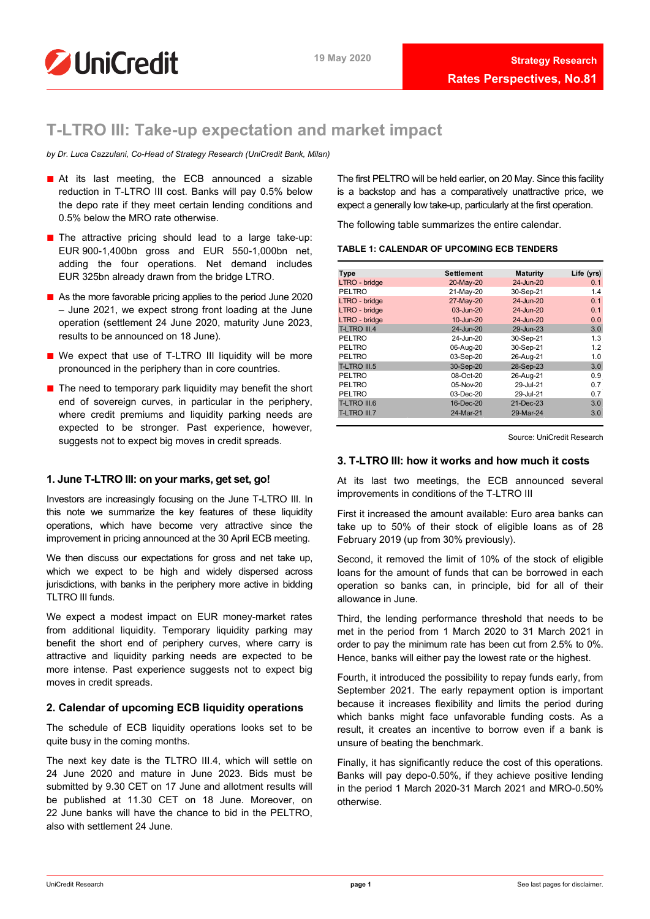

# **T-LTRO III: Take-up expectation and market impact**

*by Dr. Luca Cazzulani, Co-Head of Strategy Research (UniCredit Bank, Milan)*

- At its last meeting, the ECB announced a sizable reduction in T-LTRO III cost. Banks will pay 0.5% below the depo rate if they meet certain lending conditions and 0.5% below the MRO rate otherwise.
- The attractive pricing should lead to a large take-up: EUR 900-1,400bn gross and EUR 550-1,000bn net, adding the four operations. Net demand includes EUR 325bn already drawn from the bridge LTRO.
- As the more favorable pricing applies to the period June 2020 – June 2021, we expect strong front loading at the June operation (settlement 24 June 2020, maturity June 2023, results to be announced on 18 June).
- We expect that use of T-LTRO III liquidity will be more pronounced in the periphery than in core countries.
- The need to temporary park liquidity may benefit the short end of sovereign curves, in particular in the periphery, where credit premiums and liquidity parking needs are expected to be stronger. Past experience, however, suggests not to expect big moves in credit spreads.

# **1. June T-LTRO III: on your marks, get set, go!**

Investors are increasingly focusing on the June T-LTRO III. In this note we summarize the key features of these liquidity operations, which have become very attractive since the improvement in pricing announced at the 30 April ECB meeting.

We then discuss our expectations for gross and net take up. which we expect to be high and widely dispersed across jurisdictions, with banks in the periphery more active in bidding TLTRO III funds.

We expect a modest impact on EUR money-market rates from additional liquidity. Temporary liquidity parking may benefit the short end of periphery curves, where carry is attractive and liquidity parking needs are expected to be more intense. Past experience suggests not to expect big moves in credit spreads.

# **2. Calendar of upcoming ECB liquidity operations**

The schedule of ECB liquidity operations looks set to be quite busy in the coming months.

The next key date is the TLTRO III.4, which will settle on 24 June 2020 and mature in June 2023. Bids must be submitted by 9.30 CET on 17 June and allotment results will be published at 11.30 CET on 18 June. Moreover, on 22 June banks will have the chance to bid in the PELTRO, also with settlement 24 June.

The first PELTRO will be held earlier, on 20 May. Since this facility is a backstop and has a comparatively unattractive price, we expect a generally low take-up, particularly at the first operation.

The following table summarizes the entire calendar.

|  | <b>TABLE 1: CALENDAR OF UPCOMING ECB TENDERS</b> |
|--|--------------------------------------------------|
|--|--------------------------------------------------|

| <b>Type</b>   | <b>Settlement</b> | <b>Maturity</b> | Life (yrs) |
|---------------|-------------------|-----------------|------------|
| LTRO - bridge | 20-May-20         | 24-Jun-20       | 0.1        |
| <b>PELTRO</b> | 21-May-20         | 30-Sep-21       | 1.4        |
| LTRO - bridge | 27-May-20         | 24-Jun-20       | 0.1        |
| LTRO - bridge | 03-Jun-20         | 24-Jun-20       | 0.1        |
| LTRO - bridge | 10-Jun-20         | 24-Jun-20       | 0.0        |
| T-LTRO III.4  | 24-Jun-20         | 29-Jun-23       | 3.0        |
| PELTRO        | 24-Jun-20         | 30-Sep-21       | 1.3        |
| PELTRO        | 06-Aug-20         | 30-Sep-21       | 1.2        |
| PELTRO        | 03-Sep-20         | 26-Aug-21       | 1.0        |
| T-LTRO III.5  | 30-Sep-20         | 28-Sep-23       | 3.0        |
| <b>PELTRO</b> | 08-Oct-20         | 26-Aug-21       | 0.9        |
| PELTRO        | 05-Nov-20         | 29-Jul-21       | 0.7        |
| <b>PELTRO</b> | $03$ -Dec-20      | 29-Jul-21       | 0.7        |
| T-LTRO III.6  | 16-Dec-20         | 21-Dec-23       | 3.0        |
| T-LTRO III.7  | 24-Mar-21         | 29-Mar-24       | 3.0        |
|               |                   |                 |            |

Source: UniCredit Research

# **3. T-LTRO III: how it works and how much it costs**

At its last two meetings, the ECB announced several improvements in conditions of the T-LTRO III

First it increased the amount available: Euro area banks can take up to 50% of their stock of eligible loans as of 28 February 2019 (up from 30% previously).

Second, it removed the limit of 10% of the stock of eligible loans for the amount of funds that can be borrowed in each operation so banks can, in principle, bid for all of their allowance in June.

Third, the lending performance threshold that needs to be met in the period from 1 March 2020 to 31 March 2021 in order to pay the minimum rate has been cut from 2.5% to 0%. Hence, banks will either pay the lowest rate or the highest.

Fourth, it introduced the possibility to repay funds early, from September 2021. The early repayment option is important because it increases flexibility and limits the period during which banks might face unfavorable funding costs. As a result, it creates an incentive to borrow even if a bank is unsure of beating the benchmark.

Finally, it has significantly reduce the cost of this operations. Banks will pay depo-0.50%, if they achieve positive lending in the period 1 March 2020-31 March 2021 and MRO-0.50% otherwise.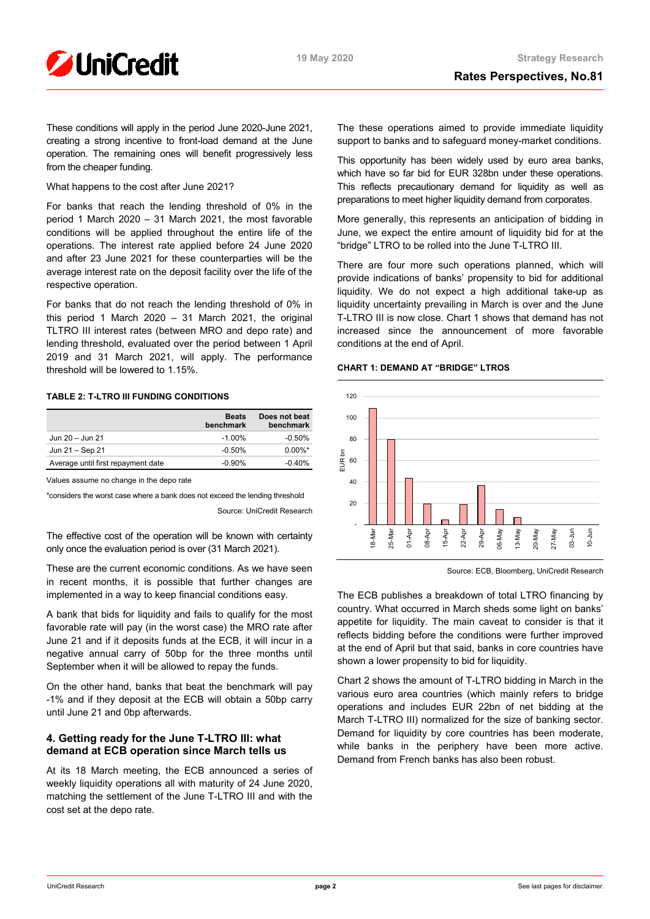

These conditions will apply in the period June 2020-June 2021, creating a strong incentive to front-load demand at the June operation. The remaining ones will benefit progressively less from the cheaper funding.

# What happens to the cost after June 2021?

For banks that reach the lending threshold of 0% in the period 1 March 2020 – 31 March 2021, the most favorable conditions will be applied throughout the entire life of the operations. The interest rate applied before 24 June 2020 and after 23 June 2021 for these counterparties will be the average interest rate on the deposit facility over the life of the respective operation.

For banks that do not reach the lending threshold of 0% in this period 1 March 2020 – 31 March 2021, the original TLTRO III interest rates (between MRO and depo rate) and lending threshold, evaluated over the period between 1 April 2019 and 31 March 2021, will apply. The performance threshold will be lowered to 1.15%.

# **TABLE 2: T-LTRO III FUNDING CONDITIONS**

|                                    | <b>Beats</b><br>benchmark | Does not beat<br>benchmark |
|------------------------------------|---------------------------|----------------------------|
| Jun 20 - Jun 21                    | $-1.00\%$                 | $-0.50\%$                  |
| Jun 21 - Sep 21                    | $-0.50\%$                 | $0.00\%$ *                 |
| Average until first repayment date | $-0.90\%$                 | $-0.40%$                   |

Values assume no change in the depo rate

\*considers the worst case where a bank does not exceed the lending threshold Source: UniCredit Research

The effective cost of the operation will be known with certainty only once the evaluation period is over (31 March 2021).

These are the current economic conditions. As we have seen in recent months, it is possible that further changes are implemented in a way to keep financial conditions easy.

A bank that bids for liquidity and fails to qualify for the most favorable rate will pay (in the worst case) the MRO rate after June 21 and if it deposits funds at the ECB, it will incur in a negative annual carry of 50bp for the three months until September when it will be allowed to repay the funds.

On the other hand, banks that beat the benchmark will pay -1% and if they deposit at the ECB will obtain a 50bp carry until June 21 and 0bp afterwards.

# **4. Getting ready for the June T-LTRO III: what demand at ECB operation since March tells us**

At its 18 March meeting, the ECB announced a series of weekly liquidity operations all with maturity of 24 June 2020, matching the settlement of the June T-LTRO III and with the cost set at the depo rate.

The these operations aimed to provide immediate liquidity support to banks and to safeguard money-market conditions.

This opportunity has been widely used by euro area banks, which have so far bid for EUR 328bn under these operations. This reflects precautionary demand for liquidity as well as preparations to meet higher liquidity demand from corporates.

More generally, this represents an anticipation of bidding in June, we expect the entire amount of liquidity bid for at the "bridge" LTRO to be rolled into the June T-LTRO III.

There are four more such operations planned, which will provide indications of banks' propensity to bid for additional liquidity. We do not expect a high additional take-up as liquidity uncertainty prevailing in March is over and the June T-LTRO III is now close. Chart 1 shows that demand has not increased since the announcement of more favorable conditions at the end of April.

# **CHART 1: DEMAND AT "BRIDGE" LTROS**



Source: ECB, Bloomberg, UniCredit Research

The ECB publishes a breakdown of total LTRO financing by country. What occurred in March sheds some light on banks' appetite for liquidity. The main caveat to consider is that it reflects bidding before the conditions were further improved at the end of April but that said, banks in core countries have shown a lower propensity to bid for liquidity.

Chart 2 shows the amount of T-LTRO bidding in March in the various euro area countries (which mainly refers to bridge operations and includes EUR 22bn of net bidding at the March T-LTRO III) normalized for the size of banking sector. Demand for liquidity by core countries has been moderate, while banks in the periphery have been more active. Demand from French banks has also been robust.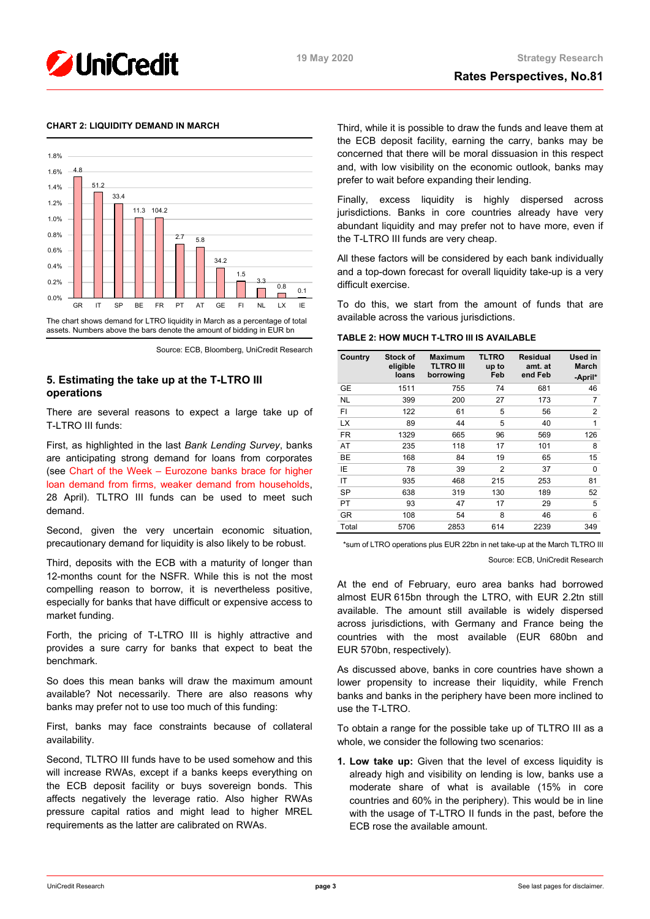

# **CHART 2: LIQUIDITY DEMAND IN MARCH**



Source: ECB, Bloomberg, UniCredit Research

# **5. Estimating the take up at the T-LTRO III operations**

There are several reasons to expect a large take up of T-LTRO III funds:

First, as highlighted in the last *Bank Lending Survey*, banks are anticipating strong demand for loans from corporates (see Chart of the Week – [Eurozone banks brace for higher](https://www.research.unicredit.eu/DocsKey/economics_docs_2020_176682.ashx?EXT=pdf&KEY=C814QI31EjqIm_1zIJDBJAOJm8sn-0N2qQxKvlGMxGU=&T=1)  [loan demand from firms, weaker demand from households,](https://www.research.unicredit.eu/DocsKey/economics_docs_2020_176682.ashx?EXT=pdf&KEY=C814QI31EjqIm_1zIJDBJAOJm8sn-0N2qQxKvlGMxGU=&T=1) 28 April). TLTRO III funds can be used to meet such demand.

Second, given the very uncertain economic situation, precautionary demand for liquidity is also likely to be robust.

Third, deposits with the ECB with a maturity of longer than 12-months count for the NSFR. While this is not the most compelling reason to borrow, it is nevertheless positive, especially for banks that have difficult or expensive access to market funding.

Forth, the pricing of T-LTRO III is highly attractive and provides a sure carry for banks that expect to beat the benchmark.

So does this mean banks will draw the maximum amount available? Not necessarily. There are also reasons why banks may prefer not to use too much of this funding:

First, banks may face constraints because of collateral availability.

Second, TLTRO III funds have to be used somehow and this will increase RWAs, except if a banks keeps everything on the ECB deposit facility or buys sovereign bonds. This affects negatively the leverage ratio. Also higher RWAs pressure capital ratios and might lead to higher MREL requirements as the latter are calibrated on RWAs.

Third, while it is possible to draw the funds and leave them at the ECB deposit facility, earning the carry, banks may be concerned that there will be moral dissuasion in this respect and, with low visibility on the economic outlook, banks may prefer to wait before expanding their lending.

Finally, excess liquidity is highly dispersed across jurisdictions. Banks in core countries already have very abundant liquidity and may prefer not to have more, even if the T-LTRO III funds are very cheap.

All these factors will be considered by each bank individually and a top-down forecast for overall liquidity take-up is a very difficult exercise.

To do this, we start from the amount of funds that are available across the various jurisdictions.

|  | TABLE 2: HOW MUCH T-LTRO III IS AVAILABLE |  |  |  |  |  |  |
|--|-------------------------------------------|--|--|--|--|--|--|
|--|-------------------------------------------|--|--|--|--|--|--|

| Country   | Stock of<br>eligible<br>loans | <b>Maximum</b><br>TLTRO III<br>borrowing | <b>TLTRO</b><br>up to<br>Feb | <b>Residual</b><br>amt. at<br>end Feb | Used in<br><b>March</b><br>-April* |
|-----------|-------------------------------|------------------------------------------|------------------------------|---------------------------------------|------------------------------------|
| GE        | 1511                          | 755                                      | 74                           | 681                                   | 46                                 |
| <b>NL</b> | 399                           | 200                                      | 27                           | 173                                   | $\overline{7}$                     |
| FI        | 122                           | 61                                       | 5                            | 56                                    | $\overline{2}$                     |
| LX        | 89                            | 44                                       | 5                            | 40                                    | 1                                  |
| <b>FR</b> | 1329                          | 665                                      | 96                           | 569                                   | 126                                |
| AT        | 235                           | 118                                      | 17                           | 101                                   | 8                                  |
| BE        | 168                           | 84                                       | 19                           | 65                                    | 15                                 |
| ΙE        | 78                            | 39                                       | $\overline{2}$               | 37                                    | 0                                  |
| IT        | 935                           | 468                                      | 215                          | 253                                   | 81                                 |
| <b>SP</b> | 638                           | 319                                      | 130                          | 189                                   | 52                                 |
| PT        | 93                            | 47                                       | 17                           | 29                                    | 5                                  |
| <b>GR</b> | 108                           | 54                                       | 8                            | 46                                    | 6                                  |
| Total     | 5706                          | 2853                                     | 614                          | 2239                                  | 349                                |

\*sum of LTRO operations plus EUR 22bn in net take-up at the March TLTRO III Source: ECB, UniCredit Research

At the end of February, euro area banks had borrowed almost EUR 615bn through the LTRO, with EUR 2.2tn still available. The amount still available is widely dispersed across jurisdictions, with Germany and France being the countries with the most available (EUR 680bn and EUR 570bn, respectively).

As discussed above, banks in core countries have shown a lower propensity to increase their liquidity, while French banks and banks in the periphery have been more inclined to use the T-LTRO.

To obtain a range for the possible take up of TLTRO III as a whole, we consider the following two scenarios:

**1. Low take up:** Given that the level of excess liquidity is already high and visibility on lending is low, banks use a moderate share of what is available (15% in core countries and 60% in the periphery). This would be in line with the usage of T-LTRO II funds in the past, before the ECB rose the available amount.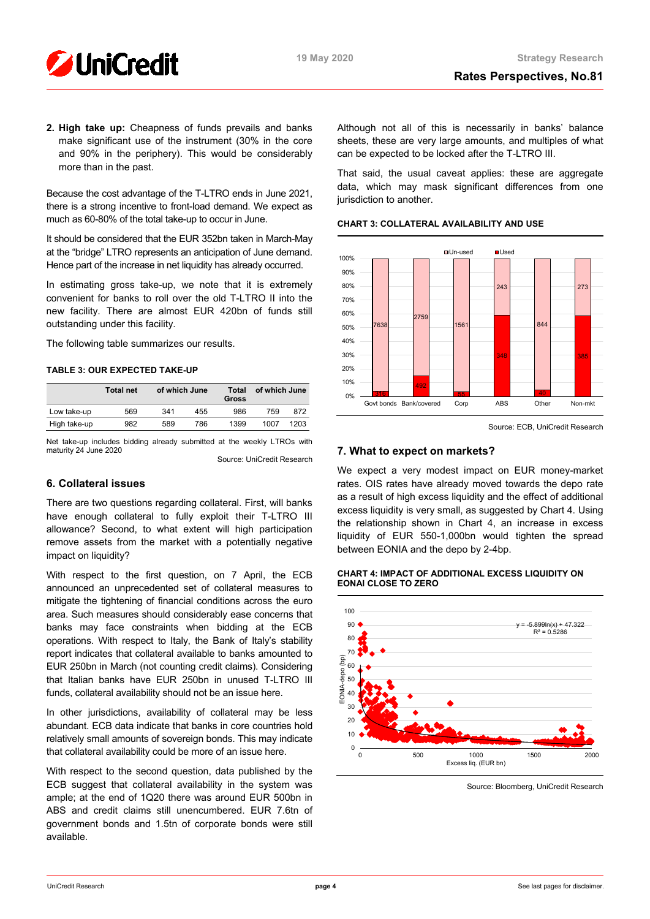

**2. High take up:** Cheapness of funds prevails and banks make significant use of the instrument (30% in the core and 90% in the periphery). This would be considerably more than in the past.

Because the cost advantage of the T-LTRO ends in June 2021, there is a strong incentive to front-load demand. We expect as much as 60-80% of the total take-up to occur in June.

It should be considered that the EUR 352bn taken in March-May at the "bridge" LTRO represents an anticipation of June demand. Hence part of the increase in net liquidity has already occurred.

In estimating gross take-up, we note that it is extremely convenient for banks to roll over the old T-LTRO II into the new facility. There are almost EUR 420bn of funds still outstanding under this facility.

The following table summarizes our results.

# **TABLE 3: OUR EXPECTED TAKE-UP**

|              | <b>Total net</b> |     | of which June | Total<br>Gross | of which June |      |  |
|--------------|------------------|-----|---------------|----------------|---------------|------|--|
| Low take-up  | 569              | 341 | 455           | 986            | 759           | 872  |  |
| High take-up | 982              | 589 | 786           | 1399           | 1007          | 1203 |  |

Net take-up includes bidding already submitted at the weekly LTROs with maturity 24 June 2020

Source: UniCredit Research

# **6. Collateral issues**

There are two questions regarding collateral. First, will banks have enough collateral to fully exploit their T-LTRO III allowance? Second, to what extent will high participation remove assets from the market with a potentially negative impact on liquidity?

With respect to the first question, on 7 April, the ECB announced an unprecedented set of collateral measures to mitigate the tightening of financial conditions across the euro area. Such measures should considerably ease concerns that banks may face constraints when bidding at the ECB operations. With respect to Italy, the Bank of Italy's stability report indicates that collateral available to banks amounted to EUR 250bn in March (not counting credit claims). Considering that Italian banks have EUR 250bn in unused T-LTRO III funds, collateral availability should not be an issue here.

In other jurisdictions, availability of collateral may be less abundant. ECB data indicate that banks in core countries hold relatively small amounts of sovereign bonds. This may indicate that collateral availability could be more of an issue here.

With respect to the second question, data published by the ECB suggest that collateral availability in the system was ample; at the end of 1Q20 there was around EUR 500bn in ABS and credit claims still unencumbered. EUR 7.6tn of government bonds and 1.5tn of corporate bonds were still available.

Although not all of this is necessarily in banks' balance sheets, these are very large amounts, and multiples of what can be expected to be locked after the T-LTRO III.

That said, the usual caveat applies: these are aggregate data, which may mask significant differences from one jurisdiction to another.

# **CHART 3: COLLATERAL AVAILABILITY AND USE**



Source: ECB, UniCredit Research

# **7. What to expect on markets?**

We expect a very modest impact on EUR money-market rates. OIS rates have already moved towards the depo rate as a result of high excess liquidity and the effect of additional excess liquidity is very small, as suggested by Chart 4. Using the relationship shown in Chart 4, an increase in excess liquidity of EUR 550-1,000bn would tighten the spread between EONIA and the depo by 2-4bp.

## **CHART 4: IMPACT OF ADDITIONAL EXCESS LIQUIDITY ON EONAI CLOSE TO ZERO**



Source: Bloomberg, UniCredit Research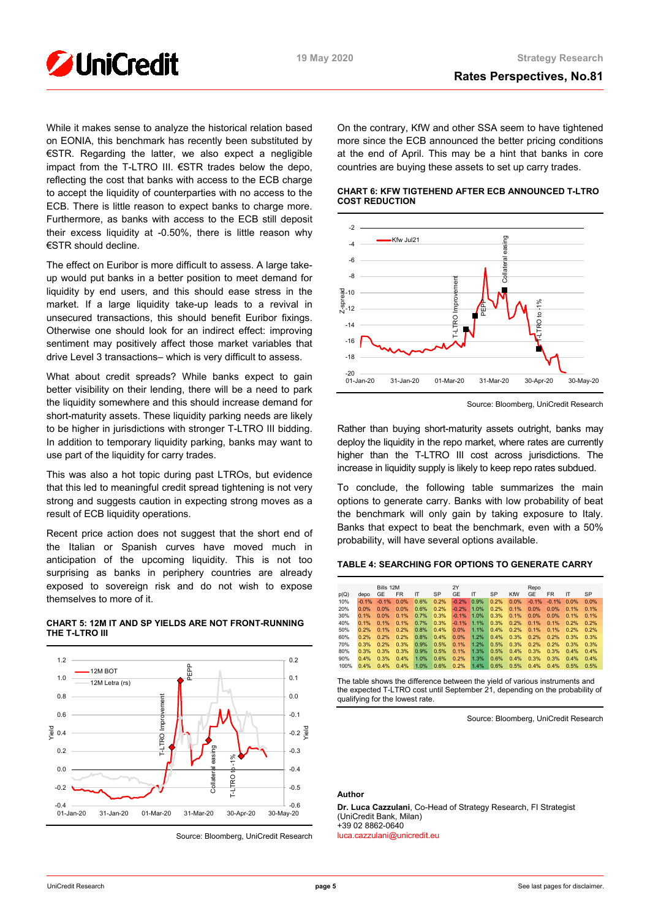

While it makes sense to analyze the historical relation based on EONIA, this benchmark has recently been substituted by €STR. Regarding the latter, we also expect a negligible impact from the T-LTRO III. €STR trades below the depo, reflecting the cost that banks with access to the ECB charge to accept the liquidity of counterparties with no access to the ECB. There is little reason to expect banks to charge more. Furthermore, as banks with access to the ECB still deposit their excess liquidity at -0.50%, there is little reason why €STR should decline.

The effect on Euribor is more difficult to assess. A large takeup would put banks in a better position to meet demand for liquidity by end users, and this should ease stress in the market. If a large liquidity take-up leads to a revival in unsecured transactions, this should benefit Euribor fixings. Otherwise one should look for an indirect effect: improving sentiment may positively affect those market variables that drive Level 3 transactions– which is very difficult to assess.

What about credit spreads? While banks expect to gain better visibility on their lending, there will be a need to park the liquidity somewhere and this should increase demand for short-maturity assets. These liquidity parking needs are likely to be higher in jurisdictions with stronger T-LTRO III bidding. In addition to temporary liquidity parking, banks may want to use part of the liquidity for carry trades.

This was also a hot topic during past LTROs, but evidence that this led to meaningful credit spread tightening is not very strong and suggests caution in expecting strong moves as a result of ECB liquidity operations.

Recent price action does not suggest that the short end of the Italian or Spanish curves have moved much in anticipation of the upcoming liquidity. This is not too surprising as banks in periphery countries are already exposed to sovereign risk and do not wish to expose themselves to more of it.



## **CHART 5: 12M IT AND SP YIELDS ARE NOT FRONT-RUNNING THE T-LTRO III**

On the contrary, KfW and other SSA seem to have tightened more since the ECB announced the better pricing conditions at the end of April. This may be a hint that banks in core countries are buying these assets to set up carry trades.

## **CHART 6: KFW TIGTEHEND AFTER ECB ANNOUNCED T-LTRO COST REDUCTION**



Source: Bloomberg, UniCredit Research

Rather than buying short-maturity assets outright, banks may deploy the liquidity in the repo market, where rates are currently higher than the T-LTRO III cost across jurisdictions. The increase in liquidity supply is likely to keep repo rates subdued.

To conclude, the following table summarizes the main options to generate carry. Banks with low probability of beat the benchmark will only gain by taking exposure to Italy. Banks that expect to beat the benchmark, even with a 50% probability, will have several options available.

## **TABLE 4: SEARCHING FOR OPTIONS TO GENERATE CARRY**

|      |         | Bills 12M |           |      |      | 2Y      |      |      |      | Repo    |           |      |           |
|------|---------|-----------|-----------|------|------|---------|------|------|------|---------|-----------|------|-----------|
| p(Q) | depo    | GE        | <b>FR</b> | ΙT   | SP   | GE      | IT   | SP   | KfW  | GE      | <b>FR</b> | ΙT   | <b>SP</b> |
| 10%  | $-0.1%$ | $-0.1%$   | 0.0%      | 0.6% | 0.2% | $-0.2%$ | 0.9% | 0.2% | 0.0% | $-0.1%$ | $-0.1%$   | 0.0% | 0.0%      |
| 20%  | 0.0%    | 0.0%      | 0.0%      | 0.6% | 0.2% | $-0.2%$ | 1.0% | 0.2% | 0.1% | 0.0%    | 0.0%      | 0.1% | 0.1%      |
| 30%  | 0.1%    | 0.0%      | 0.1%      | 0.7% | 0.3% | $-0.1%$ | 1.0% | 0.3% | 0.1% | 0.0%    | 0.0%      | 0.1% | 0.1%      |
| 40%  | 0.1%    | 0.1%      | 0.1%      | 0.7% | 0.3% | $-0.1%$ | 1.1% | 0.3% | 0.2% | 0.1%    | 0.1%      | 0.2% | 0.2%      |
| 50%  | 0.2%    | 0.1%      | 0.2%      | 0.8% | 0.4% | 0.0%    | 1.1% | 0.4% | 0.2% | 0.1%    | 0.1%      | 0.2% | 0.2%      |
| 60%  | 0.2%    | 0.2%      | 0.2%      | 0.8% | 0.4% | 0.0%    | 1.2% | 0.4% | 0.3% | 0.2%    | 0.2%      | 0.3% | 0.3%      |
| 70%  | 0.3%    | 0.2%      | 0.3%      | 0.9% | 0.5% | 0.1%    | 1.2% | 0.5% | 0.3% | 0.2%    | 0.2%      | 0.3% | 0.3%      |
| 80%  | 0.3%    | 0.3%      | 0.3%      | 0.9% | 0.5% | 0.1%    | 1.3% | 0.5% | 0.4% | 0.3%    | 0.3%      | 0.4% | 0.4%      |
| 90%  | 0.4%    | 0.3%      | 0.4%      | 1.0% | 0.6% | 0.2%    | 1.3% | 0.6% | 0.4% | 0.3%    | 0.3%      | 0.4% | 0.4%      |
| 100% | 0.4%    | 0.4%      | 0.4%      | 1.0% | 0.6% | 0.2%    | 1.4% | 0.6% | 0.5% | 0.4%    | 0.4%      | 0.5% | 0.5%      |

The table shows the difference between the yield of various instruments and the expected T-LTRO cost until September 21, depending on the probability of qualifying for the lowest rate.

Source: Bloomberg, UniCredit Research

# **Author**

**Dr. Luca Cazzulani**, Co-Head of Strategy Research, FI Strategist (UniCredit Bank, Milan) +39 02 8862-0640 [luca.cazzulani@unicredit.eu](mailto:luca.cazzulani@unicredit.eu)

Source: Bloomberg, UniCredit Research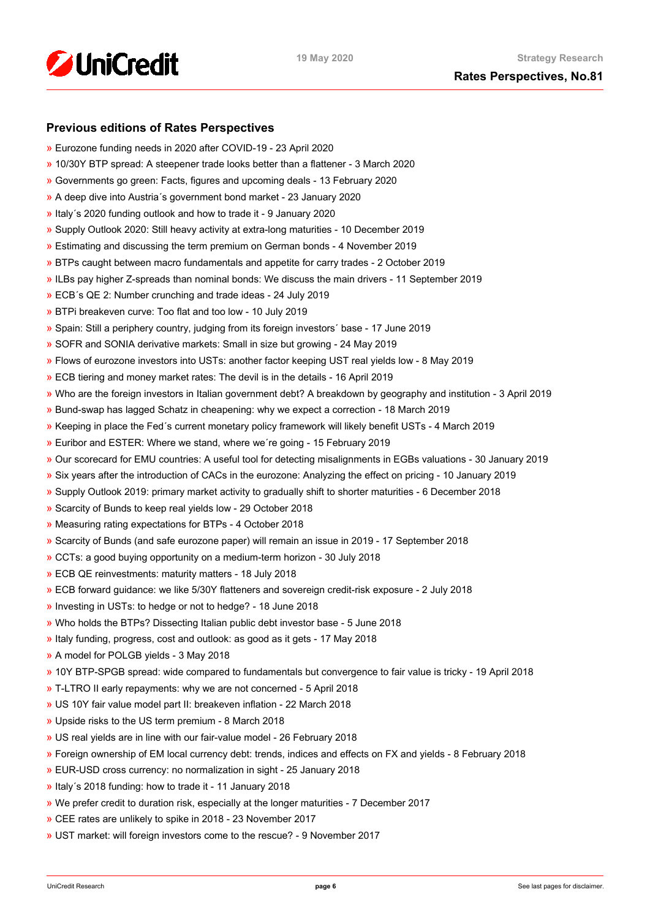

# **Previous editions of Rates Perspectives**

- [»](https://www.research.unicredit.eu/DocsKey/fxfistrategy_docs_2020_176630.ashx?EXT=pdf&KEY=KZGTuQCn4lsvclJnUgseVFcI2-vTFR2nlVdqzbTp94Q4BdEhR8EC5A==&T=1) Eurozone funding needs in 2020 after COVID-19 23 April 2020
- [»](https://www.research.unicredit.eu/DocsKey/fxfistrategy_docs_2020_176143.ashx?EXT=pdf&KEY=KZGTuQCn4lsvclJnUgseVFcI2-vTFR2n46XMXAIB2V6cPOOjdj7_cg==&T=1) 10/30Y BTP spread: A steepener trade looks better than a flattener 3 March 2020
- [»](https://www.research.unicredit.eu/DocsKey/fxfistrategy_docs_2020_175954.ashx?EXT=pdf&KEY=KZGTuQCn4lsvclJnUgseVFcI2-vTFR2nPNmoWwinZoBS4spnPS0v9A==&T=1) Governments go green: Facts, figures and upcoming deals 13 February 2020
- [»](https://www.research.unicredit.eu/DocsKey/fxfistrategy_docs_2020_175729.ashx?EXT=pdf&KEY=KZGTuQCn4lsvclJnUgseVFcI2-vTFR2nD3IxnL2-DMsUkYgH9VwtEQ==&T=1) A deep dive into Austria´s government bond market 23 January 2020
- [»](https://www.research.unicredit.eu/DocsKey/fxfistrategy_docs_2020_175593.ashx?EXT=pdf&KEY=KZGTuQCn4lsvclJnUgseVFcI2-vTFR2nXzQVTsg1IArUTJHz7ClnKQ==&T=1) Italy´s 2020 funding outlook and how to trade it 9 January 2020
- [»](https://www.research.unicredit.eu/DocsKey/fxfistrategy_docs_2019_175462.ashx?EXT=pdf&KEY=KZGTuQCn4lsvclJnUgseVEGHysWJl2Ns9AlMl_yM9fb41Glf-ynILQ==&T=1) Supply Outlook 2020: Still heavy activity at extra-long maturities 10 December 2019
- [»](https://www.research.unicredit.eu/DocsKey/fxfistrategy_docs_2019_175097.ashx?EXT=pdf&KEY=KZGTuQCn4lsvclJnUgseVEGHysWJl2NsalH1w8p3dPurdMMtjayMTw==&T=1) Estimating and discussing the term premium on German bonds 4 November 2019
- [»](https://www.research.unicredit.eu/DocsKey/fxfistrategy_docs_2019_174747.ashx?EXT=pdf&KEY=KZGTuQCn4lsvclJnUgseVEGHysWJl2NshFxQRxeXxVYxi2cgVzAqQQ==&T=1) BTPs caught between macro fundamentals and appetite for carry trades 2 October 2019
- [»](https://www.research.unicredit.eu/DocsKey/fxfistrategy_docs_2019_174503.ashx?EXT=pdf&KEY=KZGTuQCn4lsvclJnUgseVEGHysWJl2NsCFMwr5HzJ17_YmUeW60-Ag==&T=1) ILBs pay higher Z-spreads than nominal bonds: We discuss the main drivers 11 September 2019
- [»](https://www.research.unicredit.eu/DocsKey/fxfistrategy_docs_2019_173046.ashx?EXT=pdf&KEY=KZGTuQCn4lsvclJnUgseVEGHysWJl2NsYmN8grxHaGuMlNiR5FCG-Q==&T=1) ECB´s QE 2: Number crunching and trade ideas 24 July 2019
- [»](https://www.research.unicredit.eu/DocsKey/fxfistrategy_docs_2019_172874.ashx?EXT=pdf&KEY=KZGTuQCn4lsvclJnUgseVEGHysWJl2NsU6w4VN1R8ufrSpaKVsG8hw==&T=1) BTPi breakeven curve: Too flat and too low 10 July 2019
- [»](https://www.research.unicredit.eu/DocsKey/fxfistrategy_docs_2019_172612.ashx?EXT=pdf&KEY=KZGTuQCn4lsvclJnUgseVEGHysWJl2Ns2prJ4cLGo5kZAYkhTSIwiQ==&T=1) Spain: Still a periphery country, judging from its foreign investors´ base 17 June 2019
- [»](https://www.research.unicredit.eu/DocsKey/fxfistrategy_docs_2019_172362.ashx?EXT=pdf&KEY=KZGTuQCn4lsvclJnUgseVEGHysWJl2NsmV7mtWY1YutdeERi5OnkvA==&T=1) SOFR and SONIA derivative markets: Small in size but growing 24 May 2019
- [»](https://www.research.unicredit.eu/DocsKey/fxfistrategy_docs_2019_171193.ashx?EXT=pdf&KEY=KZGTuQCn4lsvclJnUgseVEGHysWJl2NsQ363zHJuO-4ubO81Q09WWw==&T=1) Flows of eurozone investors into USTs: another factor keeping UST real yields low 8 May 2019
- [»](https://www.research.unicredit.eu/DocsKey/fxfistrategy_docs_2019_170974.ashx?EXT=pdf&KEY=KZGTuQCn4lsvclJnUgseVEGHysWJl2NsRTomOaKjVl9lFV8OK8lXLA==&T=1) ECB tiering and money market rates: The devil is in the details 16 April 2019
- [»](https://www.research.unicredit.eu/DocsKey/fxfistrategy_docs_2019_170284.ashx?EXT=pdf&KEY=KZGTuQCn4lsvclJnUgseVEGHysWJl2NsEwG0xblWxFK9BVQAB4eryA==&T=1) Who are the foreign investors in Italian government debt? A breakdown by geography and institution 3 April 2019
- [»](https://www.research.unicredit.eu/DocsKey/fxfistrategy_docs_2019_170066.ashx?EXT=pdf&KEY=KZGTuQCn4lsvclJnUgseVEGHysWJl2NsNOWCS-vPqTdpZhijXIyJ5Q==&T=1) Bund-swap has lagged Schatz in cheapening: why we expect a correction 18 March 2019
- [»](https://www.research.unicredit.eu/DocsKey/fxfistrategy_docs_2019_169883.ashx?EXT=pdf&KEY=KZGTuQCn4lsvclJnUgseVEGHysWJl2Nsz9dXRsXwpAsZUUpCjW9eRw==&T=1) Keeping in place the Fed´s current monetary policy framework will likely benefit USTs 4 March 2019
- [»](https://www.research.unicredit.eu/DocsKey/fxfistrategy_docs_2019_169681.ashx?EXT=pdf&KEY=KZGTuQCn4lsvclJnUgseVEGHysWJl2NsvFsIe2gTc3YHhaYXz8CyMQ==&T=1) Euribor and ESTER: Where we stand, where we´re going 15 February 2019
- [»](https://www.research.unicredit.eu/DocsKey/fxfistrategy_docs_2019_168976.ashx?EXT=pdf&KEY=KZGTuQCn4lsvclJnUgseVEGHysWJl2NsBRIhGRL9OpCAofKNpRdbqw==&T=1) Our scorecard for EMU countries: A useful tool for detecting misalignments in EGBs valuations 30 January 2019
- [»](https://www.research.unicredit.eu/DocsKey/fxfistrategy_docs_2019_168690.ashx?EXT=pdf&KEY=KZGTuQCn4lsvclJnUgseVEGHysWJl2Ns6zwNCeXNSn5_WEAdcnzkSw==&T=1) Six years after the introduction of CACs in the eurozone: Analyzing the effect on pricing 10 January 2019
- [»](https://www.research.unicredit.eu/DocsKey/fxfistrategy_docs_2018_168081.ashx?EXT=pdf&KEY=KZGTuQCn4lsvclJnUgseVGkpNcRXR5-WdODblZpTi0A4RE9IYOSOOA==&T=1) Supply Outlook 2019: primary market activity to gradually shift to shorter maturities 6 December 2018
- [»](https://www.research.unicredit.eu/DocsKey/fxfistrategy_docs_2018_167651.ashx?EXT=pdf&KEY=KZGTuQCn4lsvclJnUgseVGkpNcRXR5-WLbIUypeIHxyD3rdrNgjwjg==&T=1) Scarcity of Bunds to keep real yields low 29 October 2018
- [»](https://www.research.unicredit.eu/DocsKey/fxfistrategy_docs_2018_167362.ashx?EXT=pdf&KEY=KZGTuQCn4lsvclJnUgseVGkpNcRXR5-W7gOokc4_UKGkd-Hy3Wx_vg==&T=1) Measuring rating expectations for BTPs 4 October 2018
- [»](https://www.research.unicredit.eu/DocsKey/fxfistrategy_docs_2018_167162.ashx?EXT=pdf&KEY=KZGTuQCn4lsvclJnUgseVGkpNcRXR5-WLonU6aW-riDJHVt4RBRKJQ==&T=1) Scarcity of Bunds (and safe eurozone paper) will remain an issue in 2019 17 September 2018
- [»](https://www.research.unicredit.eu/DocsKey/fxfistrategy_docs_2018_166735.ashx?EXT=pdf&KEY=KZGTuQCn4lsvclJnUgseVGkpNcRXR5-WJcyLXLDNCHrk_1IGoA85eQ==&T=1) CCTs: a good buying opportunity on a medium-term horizon 30 July 2018
- [»](https://www.research.unicredit.eu/DocsKey/fxfistrategy_docs_2018_165506.ashx?EXT=pdf&KEY=KZGTuQCn4lsvclJnUgseVGkpNcRXR5-WelAdBLCjwv2CsrEf1G_7vA==&T=1) ECB QE reinvestments: maturity matters 18 July 2018
- [»](https://www.research.unicredit.eu/DocsKey/fxfistrategy_docs_2018_165296.ashx?EXT=pdf&KEY=KZGTuQCn4lsvclJnUgseVGkpNcRXR5-Wl83fmK6epfPJRPrdFbpp8A==&T=1) ECB forward guidance: we like 5/30Y flatteners and sovereign credit-risk exposure 2 July 2018
- [»](https://www.research.unicredit.eu/DocsKey/fxfistrategy_docs_2018_165113.ashx?EXT=pdf&KEY=KZGTuQCn4lsvclJnUgseVGkpNcRXR5-WdMw8JSHF2Ih6d0UhMlk5iA==&T=1) Investing in USTs: to hedge or not to hedge? 18 June 2018
- [»](https://www.research.unicredit.eu/DocsKey/fxfistrategy_docs_2018_164967.ashx?EXT=pdf&KEY=KZGTuQCn4lsvclJnUgseVGkpNcRXR5-WLoNFhsvJBXHbE69WfFEurg==&T=1) Who holds the BTPs? Dissecting Italian public debt investor base 5 June 2018
- [»](https://www.research.unicredit.eu/DocsKey/fxfistrategy_docs_2018_164775.ashx?EXT=pdf&KEY=KZGTuQCn4lsvclJnUgseVGkpNcRXR5-WZF21zKfJuZ_5iLWWjJ2GpQ==&T=1) Italy funding, progress, cost and outlook: as good as it gets 17 May 2018
- [»](https://www.research.unicredit.eu/DocsKey/fxfistrategy_docs_2018_164589.ashx?EXT=pdf&KEY=KZGTuQCn4lsvclJnUgseVGkpNcRXR5-WHckxsj1laTH6N7QU0C6uzQ==&T=1) A model for POLGB yields 3 May 2018
- [»](https://www.research.unicredit.eu/DocsKey/fxfistrategy_docs_2018_164411.ashx?EXT=pdf&KEY=KZGTuQCn4lsvclJnUgseVGkpNcRXR5-W4Dmv9B6O0atd94s-0yUFlA==&T=1) 10Y BTP-SPGB spread: wide compared to fundamentals but convergence to fair value is tricky 19 April 2018
- [»](https://www.research.unicredit.eu/DocsKey/fxfistrategy_docs_2018_164242.ashx?EXT=pdf&KEY=KZGTuQCn4lsvclJnUgseVGkpNcRXR5-WFjPeFcDloA2Q8h6v6oWNhw==&T=1) T-LTRO II early repayments: why we are not concerned 5 April 2018
- [»](https://www.research.unicredit.eu/DocsKey/fxfistrategy_docs_2018_164099.ashx?EXT=pdf&KEY=KZGTuQCn4lsvclJnUgseVGkpNcRXR5-WK-s5y8Kxt0FmgxTPbhrZtA==&T=1) US 10Y fair value model part II: breakeven inflation 22 March 2018
- [»](https://www.research.unicredit.eu/DocsKey/fxfistrategy_docs_2018_163914.ashx?EXT=pdf&KEY=KZGTuQCn4lsvclJnUgseVGkpNcRXR5-W6uAyZrmo_juOWp31QBzAwQ==&T=1) Upside risks to the US term premium 8 March 2018
- [»](https://www.research.unicredit.eu/DocsKey/fxfistrategy_docs_2018_163795.ashx?EXT=pdf&KEY=KZGTuQCn4lsvclJnUgseVGkpNcRXR5-W31oteEsRkw-wRr-E75wyXQ==&T=1) US real yields are in line with our fair-value model 26 February 2018
- [»](https://www.research.unicredit.eu/DocsKey/fxfistrategy_docs_2018_163569.ashx?EXT=pdf&KEY=KZGTuQCn4lsvclJnUgseVGkpNcRXR5-WOwinUv5yvR4A_iRZMMXqUg==&T=1) Foreign ownership of EM local currency debt: trends, indices and effects on FX and yields 8 February 2018
- [»](https://www.research.unicredit.eu/DocsKey/fxfistrategy_docs_2018_163350.ashx?EXT=pdf&KEY=KZGTuQCn4lsvclJnUgseVGkpNcRXR5-WSfc0pL8-Nw1KrcsN90zewQ==&T=1) EUR-USD cross currency: no normalization in sight 25 January 2018
- [»](https://www.research.unicredit.eu/DocsKey/fxfistrategy_docs_2018_163165.ashx?EXT=pdf&KEY=KZGTuQCn4lsvclJnUgseVGkpNcRXR5-WizOxQ_qd2pKve_EGsME8pw==&T=1) Italy´s 2018 funding: how to trade it 11 January 2018
- [»](https://www.research.unicredit.eu/DocsKey/fxfistrategy_docs_2017_162876.ashx?EXT=pdf&KEY=KZGTuQCn4lsvclJnUgseVBaZnvdiHIQjhlAgRXaAk9xO-WbIBHzmug==&T=1) We prefer credit to duration risk, especially at the longer maturities 7 December 2017
- [»](https://www.research.unicredit.eu/DocsKey/fxfistrategy_docs_2017_162702.ashx?EXT=pdf&KEY=KZGTuQCn4lsvclJnUgseVBaZnvdiHIQj7kV9jp7KGvx_rQqXOlHcBw==&T=1) CEE rates are unlikely to spike in 2018 23 November 2017
- [»](https://www.research.unicredit.eu/DocsKey/fxfistrategy_docs_2017_162521.ashx?EXT=pdf&KEY=KZGTuQCn4lsvclJnUgseVBaZnvdiHIQjHP5HTV6m0S1CZt4h4v7Z7Q==&T=1) UST market: will foreign investors come to the rescue? 9 November 2017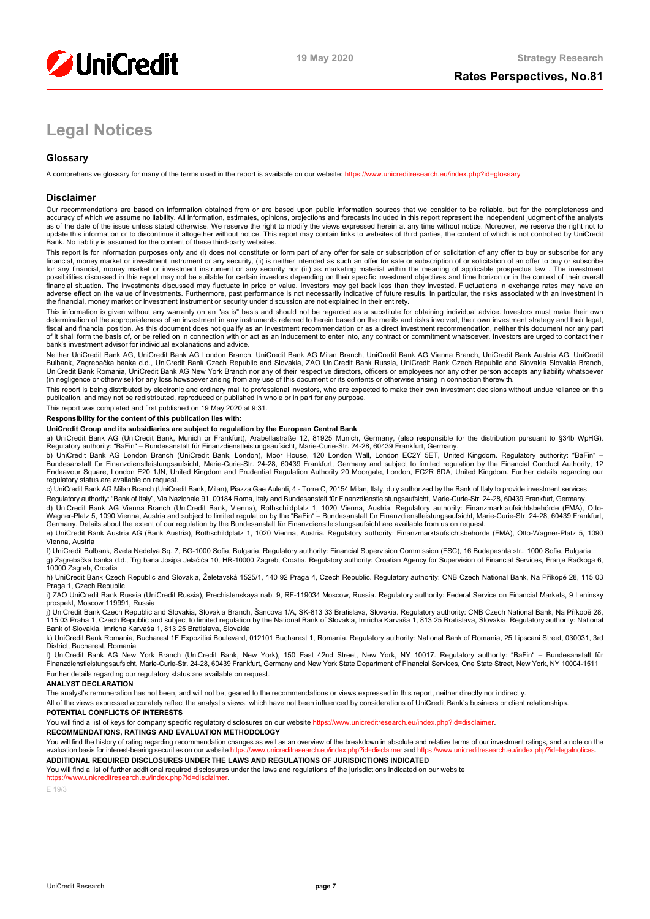

# **Legal Notices**

# **Glossary**

A comprehensive glossary for many of the terms used in the report is available on our website[: https://www.unicreditresearch.eu/index.php?id=glossary](https://www.unicreditresearch.eu/index.php?id=glossary)

### **Disclaimer**

Our recommendations are based on information obtained from or are based upon public information sources that we consider to be reliable, but for the completeness and<br>accuracy of which we assume no liability. All informatio as of the date of the issue unless stated otherwise. We reserve the right to modify the views expressed herein at any time without notice. Moreover, we reserve the right not to update this information or to discontinue it altogether without notice. This report may contain links to websites of third parties, the content of which is not controlled by UniCredit<br>Bank. No liability is assumed for the

This report is for information purposes only and (i) does not constitute or form part of any offer for sale or subscription of or solicitation of any offer to buy or subscribe for any<br>financial, money market or investment for any financial, money market or investment instrument or any security nor (iii) as marketing material within the meaning of applicable prospectus law . The investment possibilities discussed in this report may not be suitable for certain investors depending on their specific investment objectives and time horizon or in the context of their overall<br>financial situation. The investments di adverse effect on the value of investments. Furthermore, past performance is not necessarily indicative of future results. In particular, the risks associated with an investment in the financial, money market or investment instrument or security under discussion are not explained in their entirety.

This information is given without any warranty on an "as is" basis and should not be regarded as a substitute for obtaining individual advice. Investors must make their own determination of the appropriateness of an investment in any instruments referred to herein based on the merits and risks involved, their own investment strategy and their legal,<br>fiscal and financial position. As this docu of it shall form the basis of, or be relied on in connection with or act as an inducement to enter into, any contract or commitment whatsoever. Investors are urged to contact their bank's investment advisor for individual explanations and advice.

Neither UniCredit Bank AG, UniCredit Bank AG London Branch, UniCredit Bank AG Milan Branch, UniCredit Bank AG Vienna Branch, UniCredit Bank Austria AG, UniCredit Bulbank, Zagrebačka banka d.d., UniCredit Bank Czech Republic and Slovakia, ZAO UniCredit Bank Russia, UniCredit Bank Czech Republic and Slovakia Slovakia Branch,<br>UniCredit Bank Romania, UniCredit Bank AG New York Branch n (in negligence or otherwise) for any loss howsoever arising from any use of this document or its contents or otherwise arising in connection therewith.

This report is being distributed by electronic and ordinary mail to professional investors, who are expected to make their own investment decisions without undue reliance on this publication, and may not be redistributed, reproduced or published in whole or in part for any purpose.

This report was completed and first published on 19 May 2020 at 9:31.

### **Responsibility for the content of this publication lies with:**

#### **UniCredit Group and its subsidiaries are subject to regulation by the European Central Bank**

a) UniCredit Bank AG (UniCredit Bank, Munich or Frankfurt), Arabellastraße 12, 81925 Munich, Germany, (also responsible for the distribution pursuant to §34b WpHG). Regulatory authority: "BaFin" – Bundesanstalt für Finanzdienstleistungsaufsicht, Marie-Curie-Str. 24-28, 60439 Frankfurt, Germany.

b) UniCredit Bank AG London Branch (UniCredit Bank, London), Moor House, 120 London Wall, London EC2Y 5ET, United Kingdom. Regulatory authority: "BaFin" –<br>Bundesanstalt für Finanzdienstleistungsaufsicht, Marie-Curie-Str. 2 regulatory status are available on request.

c) UniCredit Bank AG Milan Branch (UniCredit Bank, Milan), Piazza Gae Aulenti, 4 - Torre C, 20154 Milan, Italy, duly authorized by the Bank of Italy to provide investment services.

Regulatory authority: "Bank of Italy", Via Nazionale 91, 00184 Roma, Italy and Bundesanstalt für Finanzdienstleistungsaufsicht, Marie-Curie-Str. 24-28, 60439 Frankfurt, Germany. d) UniCredit Bank AG Vienna Branch (UniCredit Bank, Vienna), Rothschildplatz 1, 1020 Vienna, Austria. Regulatory authority: Finanzmarktaufsichtsbehörde (FMA), Otto-<br>Wagner-Platz 5, 1090 Vienna, Austria and subject to limit

e) UniCredit Bank Austria AG (Bank Austria), Rothschildplatz 1, 1020 Vienna, Austria. Regulatory authority: Finanzmarktaufsichtsbehörde (FMA), Otto-Wagner-Platz 5, 1090 Vienna, Austria

f) UniCredit Bulbank, Sveta Nedelya Sq. 7, BG-1000 Sofia, Bulgaria. Regulatory authority: Financial Supervision Commission (FSC), 16 Budapeshta str., 1000 Sofia, Bulgaria g) Zagrebačka banka d.d., Trg bana Josipa Jelačića 10, HR-10000 Zagreb, Croatia. Regulatory authority: Croatian Agency for Supervision of Financial Services, Franje Račkoga 6, 10000 Zagreb, Croatia

h) UniCredit Bank Czech Republic and Slovakia, Želetavská 1525/1, 140 92 Praga 4, Czech Republic. Regulatory authority: CNB Czech National Bank, Na Příkopě 28, 115 03 Praga 1, Czech Republic

i) ZAO UniCredit Bank Russia (UniCredit Russia), Prechistenskaya nab. 9, RF-119034 Moscow, Russia. Regulatory authority: Federal Service on Financial Markets, 9 Leninsky prospekt, Moscow 119991, Russia

j) UniCredit Bank Czech Republic and Slovakia, Slovakia Branch, Šancova 1/A, SK-813 33 Bratislava, Slovakia. Regulatory authority: CNB Czech National Bank, Na Příkopě 28, 115 03 Praha 1, Czech Republic and subject to limited regulation by the National Bank of Slovakia, Imricha Karvaša 1, 813 25 Bratislava, Slovakia. Regulatory authority: National<br>Bank of Slovakia, Imricha Karvaša 1, 813 25

k) UniCredit Bank Romania, Bucharest 1F Expozitiei Boulevard, 012101 Bucharest 1, Romania. Regulatory authority: National Bank of Romania, 25 Lipscani Street, 030031, 3rd District, Bucharest, Romania

l) UniCredit Bank AG New York Branch (UniCredit Bank, New York), 150 East 42nd Street, New York, NY 10017. Regulatory authority: "BaFin" – Bundesanstalt für Finanzdienstleistungsaufsicht, Marie-Curie-Str. 24-28, 60439 Frankfurt, Germany and New York State Department of Financial Services, One State Street, New York, NY 10004-1511 Further details regarding our regulatory status are available on request.

#### **ANALYST DECLARATION**

The analyst's remuneration has not been, and will not be, geared to the recommendations or views expressed in this report, neither directly nor indirectly

All of the views expressed accurately reflect the analyst's views, which have not been influenced by considerations of UniCredit Bank's business or client relationships.

#### **POTENTIAL CONFLICTS OF INTERESTS**

You will find a list of keys for company specific regulatory disclosures on our websit[e https://www.unicreditresearch.eu/index.php?id=disclaimer.](https://www.unicreditresearch.eu/index.php?id=disclaimer)

**RECOMMENDATIONS, RATINGS AND EVALUATION METHODOLOGY** 

You will find the history of rating regarding recommendation changes as well as an overview of the breakdown in absolute and relative terms of our investment ratings, and a note on the evaluation basis for interest-bearing evaluation basis for interest-bearing securities on our website https://www.unicreditresearch.eurice **ADDITIONAL REQUIRED DISCLOSURES UNDER THE LAWS AND REGULATIONS OF JURISDICTIONS INDICATED**

You will find a list of further additional required disclosures under the laws and requlations of the jurisdictions indicated on our website

https://www.unicreditresearch.eu/index.php?id=disc

E 19/3